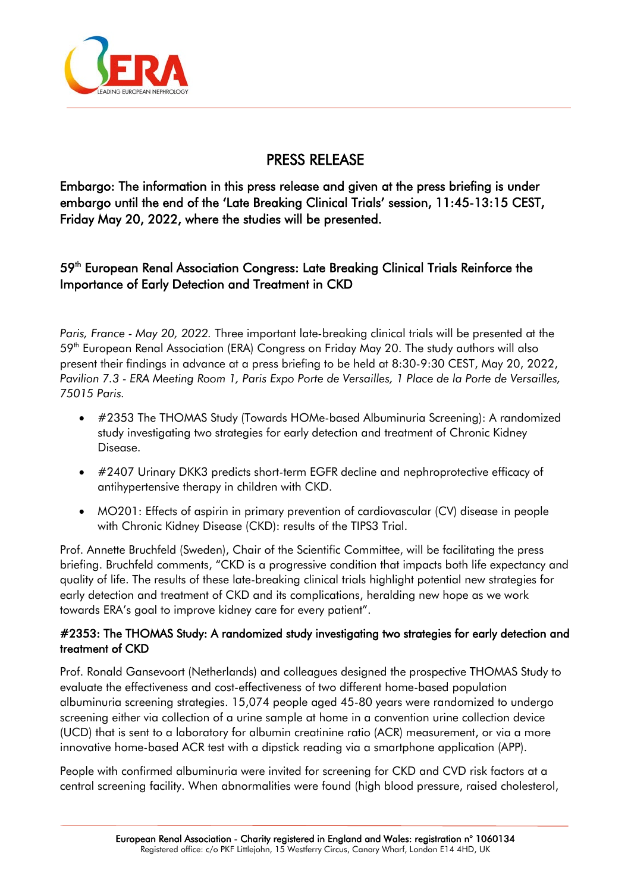

# PRESS RELEASE

Embargo: The information in this press release and given at the press briefing is under embargo until the end of the 'Late Breaking Clinical Trials' session, 11:45-13:15 CEST, Friday May 20, 2022, where the studies will be presented.

# 59<sup>th</sup> European Renal Association Congress: Late Breaking Clinical Trials Reinforce the Importance of Early Detection and Treatment in CKD

*Paris, France - May 20, 2022.* Three important late-breaking clinical trials will be presented at the 59<sup>th</sup> European Renal Association (ERA) Congress on Friday May 20. The study authors will also present their findings in advance at a press briefing to be held at 8:30-9:30 CEST, May 20, 2022, *Pavilion 7.3 - ERA Meeting Room 1, Paris Expo Porte de Versailles, 1 Place de la Porte de Versailles, 75015 Paris.*

- #2353 The THOMAS Study (Towards HOMe-based Albuminuria Screening): A randomized study investigating two strategies for early detection and treatment of Chronic Kidney Disease.
- #2407 Urinary DKK3 predicts short-term EGFR decline and nephroprotective efficacy of antihypertensive therapy in children with CKD.
- MO201: Effects of aspirin in primary prevention of cardiovascular (CV) disease in people with Chronic Kidney Disease (CKD): results of the TIPS3 Trial.

Prof. Annette Bruchfeld (Sweden), Chair of the Scientific Committee, will be facilitating the press briefing. Bruchfeld comments, "CKD is a progressive condition that impacts both life expectancy and quality of life. The results of these late-breaking clinical trials highlight potential new strategies for early detection and treatment of CKD and its complications, heralding new hope as we work towards ERA's goal to improve kidney care for every patient".

#### #2353: The THOMAS Study: A randomized study investigating two strategies for early detection and treatment of CKD

Prof. Ronald Gansevoort (Netherlands) and colleagues designed the prospective THOMAS Study to evaluate the effectiveness and cost-effectiveness of two different home-based population albuminuria screening strategies. 15,074 people aged 45-80 years were randomized to undergo screening either via collection of a urine sample at home in a convention urine collection device (UCD) that is sent to a laboratory for albumin creatinine ratio (ACR) measurement, or via a more innovative home-based ACR test with a dipstick reading via a smartphone application (APP).

People with confirmed albuminuria were invited for screening for CKD and CVD risk factors at a central screening facility. When abnormalities were found (high blood pressure, raised cholesterol,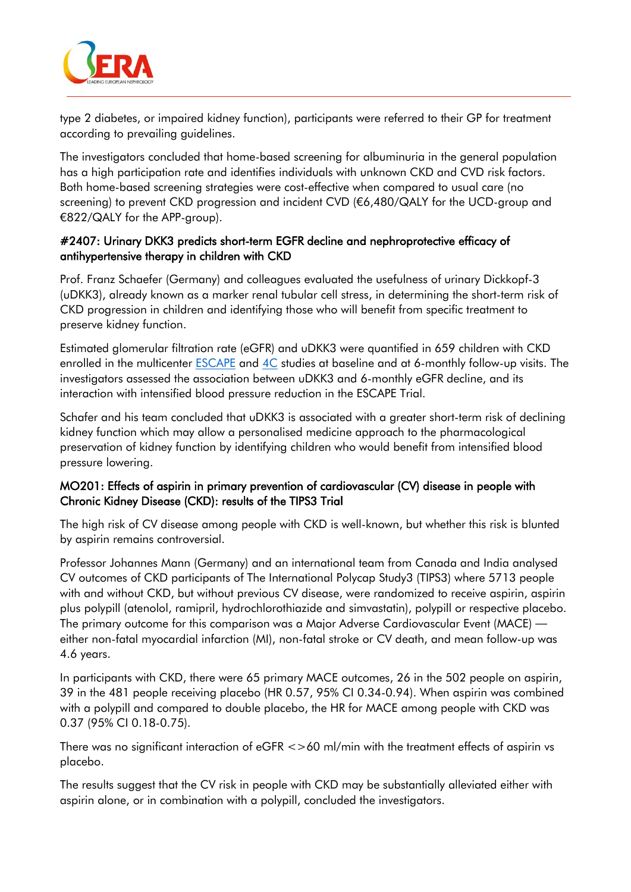

type 2 diabetes, or impaired kidney function), participants were referred to their GP for treatment according to prevailing guidelines.

The investigators concluded that home-based screening for albuminuria in the general population has a high participation rate and identifies individuals with unknown CKD and CVD risk factors. Both home-based screening strategies were cost-effective when compared to usual care (no screening) to prevent CKD progression and incident CVD (€6,480/QALY for the UCD-group and €822/QALY for the APP-group).

#### #2407: Urinary DKK3 predicts short-term EGFR decline and nephroprotective efficacy of antihypertensive therapy in children with CKD

Prof. Franz Schaefer (Germany) and colleagues evaluated the usefulness of urinary Dickkopf-3 (uDKK3), already known as a marker renal tubular cell stress, in determining the short-term risk of CKD progression in children and identifying those who will benefit from specific treatment to preserve kidney function.

Estimated glomerular filtration rate (eGFR) and uDKK3 were quantified in 659 children with CKD enrolled in the multicenter **ESCAPE** and [4C](https://clinicaltrials.gov/ct2/show/NCT01046448) studies at baseline and at 6-monthly follow-up visits. The investigators assessed the association between uDKK3 and 6-monthly eGFR decline, and its interaction with intensified blood pressure reduction in the ESCAPE Trial.

Schafer and his team concluded that uDKK3 is associated with a greater short-term risk of declining kidney function which may allow a personalised medicine approach to the pharmacological preservation of kidney function by identifying children who would benefit from intensified blood pressure lowering.

#### MO201: Effects of aspirin in primary prevention of cardiovascular (CV) disease in people with Chronic Kidney Disease (CKD): results of the TIPS3 Trial

The high risk of CV disease among people with CKD is well-known, but whether this risk is blunted by aspirin remains controversial.

Professor Johannes Mann (Germany) and an international team from Canada and India analysed CV outcomes of CKD participants of The International Polycap Study3 (TIPS3) where 5713 people with and without CKD, but without previous CV disease, were randomized to receive aspirin, aspirin plus polypill (atenolol, ramipril, hydrochlorothiazide and simvastatin), polypill or respective placebo. The primary outcome for this comparison was a Major Adverse Cardiovascular Event (MACE) either non-fatal myocardial infarction (MI), non-fatal stroke or CV death, and mean follow-up was 4.6 years.

In participants with CKD, there were 65 primary MACE outcomes, 26 in the 502 people on aspirin, 39 in the 481 people receiving placebo (HR 0.57, 95% CI 0.34-0.94). When aspirin was combined with a polypill and compared to double placebo, the HR for MACE among people with CKD was 0.37 (95% CI 0.18-0.75).

There was no significant interaction of eGFR <>60 ml/min with the treatment effects of aspirin vs placebo.

The results suggest that the CV risk in people with CKD may be substantially alleviated either with aspirin alone, or in combination with a polypill, concluded the investigators.